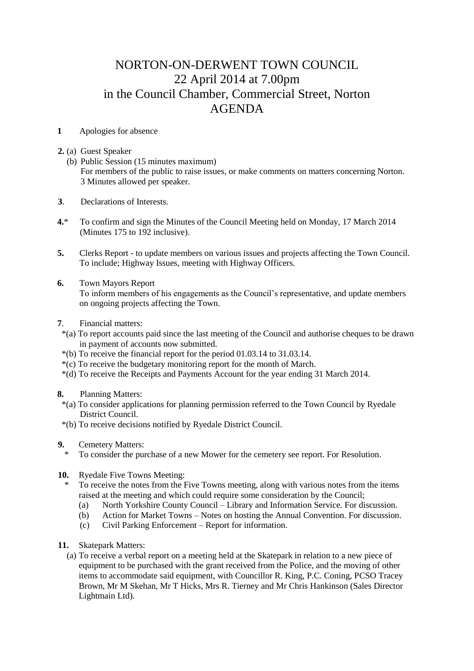## NORTON-ON-DERWENT TOWN COUNCIL 22 April 2014 at 7.00pm in the Council Chamber, Commercial Street, Norton AGENDA

## **1** Apologies for absence

- **2.** (a) Guest Speaker
	- (b) Public Session (15 minutes maximum) For members of the public to raise issues, or make comments on matters concerning Norton. 3 Minutes allowed per speaker.
- **3**. Declarations of Interests.
- **4.**\* To confirm and sign the Minutes of the Council Meeting held on Monday, 17 March 2014 (Minutes 175 to 192 inclusive).
- **5.** Clerks Report to update members on various issues and projects affecting the Town Council. To include; Highway Issues, meeting with Highway Officers.
- **6.** Town Mayors Report To inform members of his engagements as the Council's representative, and update members on ongoing projects affecting the Town.
- **7**. Financial matters:
- \*(a) To report accounts paid since the last meeting of the Council and authorise cheques to be drawn in payment of accounts now submitted.
- \*(b) To receive the financial report for the period 01.03.14 to 31.03.14.
- \*(c) To receive the budgetary monitoring report for the month of March.
- \*(d) To receive the Receipts and Payments Account for the year ending 31 March 2014.
- **8.** Planning Matters:
	- \*(a) To consider applications for planning permission referred to the Town Council by Ryedale District Council.
- \*(b) To receive decisions notified by Ryedale District Council.
- **9.** Cemetery Matters:
	- \* To consider the purchase of a new Mower for the cemetery see report. For Resolution.
- **10.** Ryedale Five Towns Meeting:
	- \* To receive the notes from the Five Towns meeting, along with various notes from the items raised at the meeting and which could require some consideration by the Council;
		- (a) North Yorkshire County Council Library and Information Service. For discussion.
		- (b) Action for Market Towns Notes on hosting the Annual Convention. For discussion.
		- (c) Civil Parking Enforcement Report for information.
- **11.** Skatepark Matters:
	- (a) To receive a verbal report on a meeting held at the Skatepark in relation to a new piece of equipment to be purchased with the grant received from the Police, and the moving of other items to accommodate said equipment, with Councillor R. King, P.C. Coning, PCSO Tracey Brown, Mr M Skehan, Mr T Hicks, Mrs R. Tierney and Mr Chris Hankinson (Sales Director Lightmain Ltd).